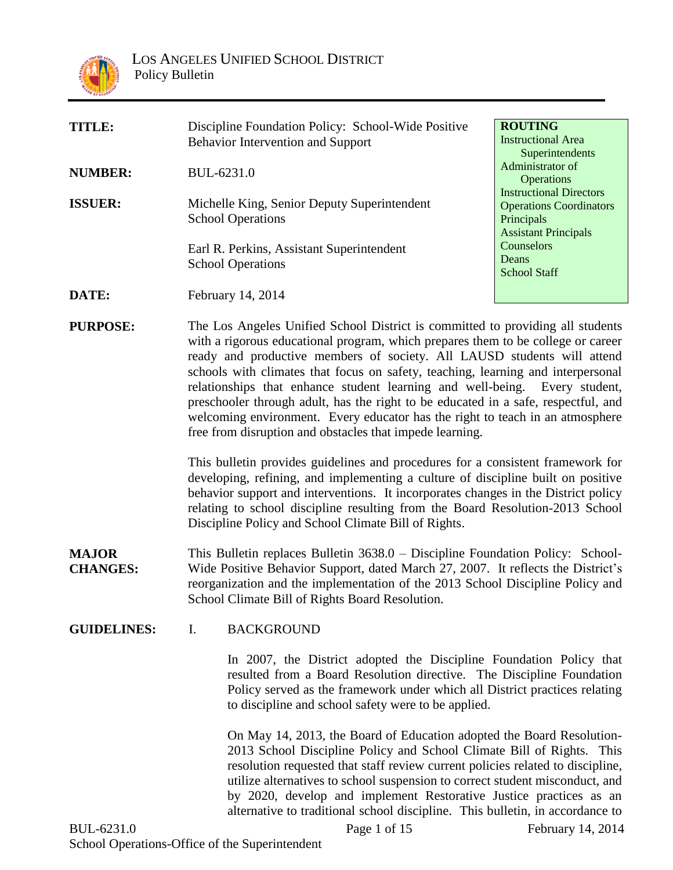

| TITLE:         | Discipline Foundation Policy: School-Wide Positive                             | <b>ROUTING</b>                                      |
|----------------|--------------------------------------------------------------------------------|-----------------------------------------------------|
|                | <b>Behavior Intervention and Support</b>                                       | <b>Instructional Area</b>                           |
|                |                                                                                | Superintendents                                     |
| <b>NUMBER:</b> | BUL-6231.0                                                                     | Administrator of                                    |
| <b>ISSUER:</b> |                                                                                | <b>Operations</b><br><b>Instructional Directors</b> |
|                | Michelle King, Senior Deputy Superintendent<br><b>School Operations</b>        | <b>Operations Coordinators</b><br>Principals        |
|                |                                                                                | <b>Assistant Principals</b>                         |
|                | Earl R. Perkins, Assistant Superintendent                                      | Counselors                                          |
|                | <b>School Operations</b>                                                       | Deans                                               |
|                |                                                                                | <b>School Staff</b>                                 |
| DATE:          | February 14, 2014                                                              |                                                     |
| DUDDACE.       | The Lee Angeles Unified School District is committed to providing all students |                                                     |

**PURPOSE:** The Los Angeles Unified School District is committed to providing all students with a rigorous educational program, which prepares them to be college or career ready and productive members of society. All LAUSD students will attend schools with climates that focus on safety, teaching, learning and interpersonal relationships that enhance student learning and well-being. Every student, preschooler through adult, has the right to be educated in a safe, respectful, and welcoming environment. Every educator has the right to teach in an atmosphere free from disruption and obstacles that impede learning.

> This bulletin provides guidelines and procedures for a consistent framework for developing, refining, and implementing a culture of discipline built on positive behavior support and interventions. It incorporates changes in the District policy relating to school discipline resulting from the Board Resolution-2013 School Discipline Policy and School Climate Bill of Rights.

- **MAJOR CHANGES:** This Bulletin replaces Bulletin 3638.0 – Discipline Foundation Policy: School-Wide Positive Behavior Support, dated March 27, 2007. It reflects the District's reorganization and the implementation of the 2013 School Discipline Policy and School Climate Bill of Rights Board Resolution.
- **GUIDELINES:** I. BACKGROUND

In 2007, the District adopted the Discipline Foundation Policy that resulted from a Board Resolution directive. The Discipline Foundation Policy served as the framework under which all District practices relating to discipline and school safety were to be applied.

On May 14, 2013, the Board of Education adopted the Board Resolution-2013 School Discipline Policy and School Climate Bill of Rights. This resolution requested that staff review current policies related to discipline, utilize alternatives to school suspension to correct student misconduct, and by 2020, develop and implement Restorative Justice practices as an alternative to traditional school discipline. This bulletin, in accordance to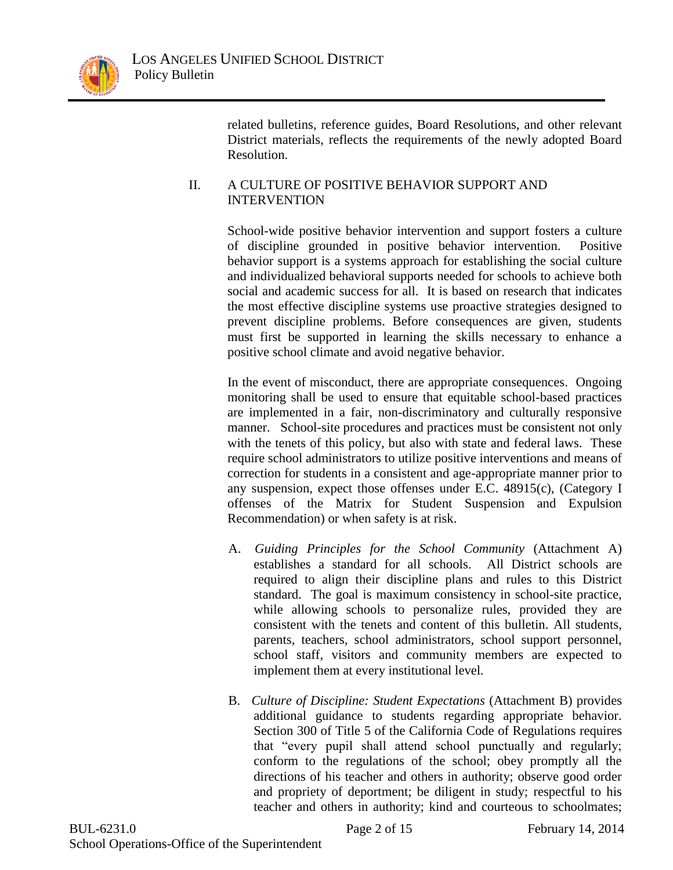

related bulletins, reference guides, Board Resolutions, and other relevant District materials, reflects the requirements of the newly adopted Board Resolution.

### II. A CULTURE OF POSITIVE BEHAVIOR SUPPORT AND INTERVENTION

School-wide positive behavior intervention and support fosters a culture of discipline grounded in positive behavior intervention. Positive behavior support is a systems approach for establishing the social culture and individualized behavioral supports needed for schools to achieve both social and academic success for all. It is based on research that indicates the most effective discipline systems use proactive strategies designed to prevent discipline problems. Before consequences are given, students must first be supported in learning the skills necessary to enhance a positive school climate and avoid negative behavior.

In the event of misconduct, there are appropriate consequences. Ongoing monitoring shall be used to ensure that equitable school-based practices are implemented in a fair, non-discriminatory and culturally responsive manner. School-site procedures and practices must be consistent not only with the tenets of this policy, but also with state and federal laws. These require school administrators to utilize positive interventions and means of correction for students in a consistent and age-appropriate manner prior to any suspension, expect those offenses under E.C. 48915(c), (Category I offenses of the Matrix for Student Suspension and Expulsion Recommendation) or when safety is at risk.

- A. *Guiding Principles for the School Community* (Attachment A) establishes a standard for all schools. All District schools are required to align their discipline plans and rules to this District standard. The goal is maximum consistency in school-site practice, while allowing schools to personalize rules, provided they are consistent with the tenets and content of this bulletin. All students, parents, teachers, school administrators, school support personnel, school staff, visitors and community members are expected to implement them at every institutional level*.*
- B. *Culture of Discipline: Student Expectations* (Attachment B) provides additional guidance to students regarding appropriate behavior. Section 300 of Title 5 of the California Code of Regulations requires that "every pupil shall attend school punctually and regularly; conform to the regulations of the school; obey promptly all the directions of his teacher and others in authority; observe good order and propriety of deportment; be diligent in study; respectful to his teacher and others in authority; kind and courteous to schoolmates;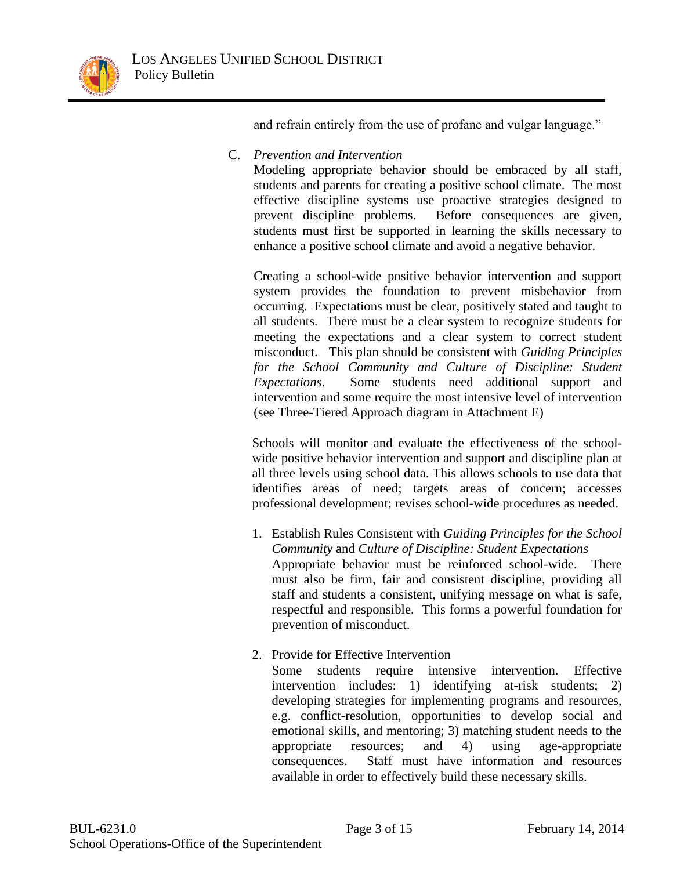and refrain entirely from the use of profane and vulgar language."

C. *Prevention and Intervention*

Modeling appropriate behavior should be embraced by all staff, students and parents for creating a positive school climate. The most effective discipline systems use proactive strategies designed to prevent discipline problems. Before consequences are given, students must first be supported in learning the skills necessary to enhance a positive school climate and avoid a negative behavior.

Creating a school-wide positive behavior intervention and support system provides the foundation to prevent misbehavior from occurring. Expectations must be clear, positively stated and taught to all students. There must be a clear system to recognize students for meeting the expectations and a clear system to correct student misconduct. This plan should be consistent with *Guiding Principles*  for the School Community and Culture of Discipline: Student *Expectations*. Some students need additional support and intervention and some require the most intensive level of intervention (see Three-Tiered Approach diagram in Attachment E)

Schools will monitor and evaluate the effectiveness of the schoolwide positive behavior intervention and support and discipline plan at all three levels using school data. This allows schools to use data that identifies areas of need; targets areas of concern; accesses professional development; revises school-wide procedures as needed.

- 1. Establish Rules Consistent with *Guiding Principles for the School Community* and *Culture of Discipline: Student Expectations* Appropriate behavior must be reinforced school-wide. There must also be firm, fair and consistent discipline, providing all staff and students a consistent, unifying message on what is safe, respectful and responsible. This forms a powerful foundation for prevention of misconduct.
- 2. Provide for Effective Intervention

 Some students require intensive intervention. Effective intervention includes: 1) identifying at-risk students; 2) developing strategies for implementing programs and resources, e.g. conflict-resolution, opportunities to develop social and emotional skills, and mentoring; 3) matching student needs to the appropriate resources; and 4) using age-appropriate consequences. Staff must have information and resources available in order to effectively build these necessary skills.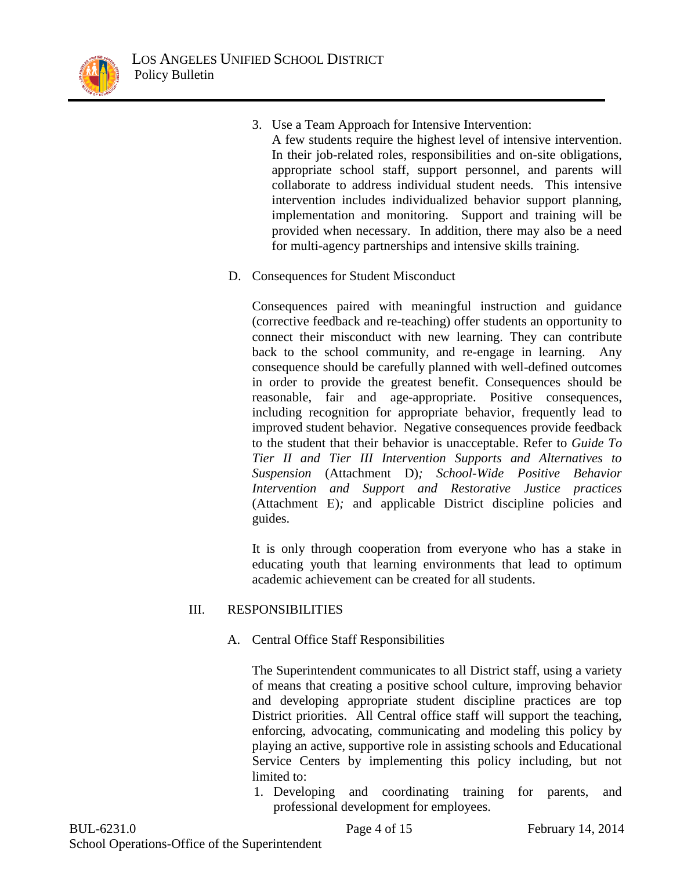

- 3. Use a Team Approach for Intensive Intervention: A few students require the highest level of intensive intervention. In their job-related roles, responsibilities and on-site obligations, appropriate school staff, support personnel, and parents will collaborate to address individual student needs. This intensive intervention includes individualized behavior support planning, implementation and monitoring. Support and training will be provided when necessary. In addition, there may also be a need for multi-agency partnerships and intensive skills training.
- D. Consequences for Student Misconduct

Consequences paired with meaningful instruction and guidance (corrective feedback and re-teaching) offer students an opportunity to connect their misconduct with new learning. They can contribute back to the school community, and re-engage in learning. Any consequence should be carefully planned with well-defined outcomes in order to provide the greatest benefit. Consequences should be reasonable, fair and age-appropriate. Positive consequences, including recognition for appropriate behavior, frequently lead to improved student behavior. Negative consequences provide feedback to the student that their behavior is unacceptable. Refer to *Guide To Tier II and Tier III Intervention Supports and Alternatives to Suspension* (Attachment D)*; School-Wide Positive Behavior Intervention and Support and Restorative Justice practices* (Attachment E)*;* and applicable District discipline policies and guides.

It is only through cooperation from everyone who has a stake in educating youth that learning environments that lead to optimum academic achievement can be created for all students.

## III. RESPONSIBILITIES

A. Central Office Staff Responsibilities

The Superintendent communicates to all District staff, using a variety of means that creating a positive school culture, improving behavior and developing appropriate student discipline practices are top District priorities. All Central office staff will support the teaching, enforcing, advocating, communicating and modeling this policy by playing an active, supportive role in assisting schools and Educational Service Centers by implementing this policy including, but not limited to:

1. Developing and coordinating training for parents, and professional development for employees.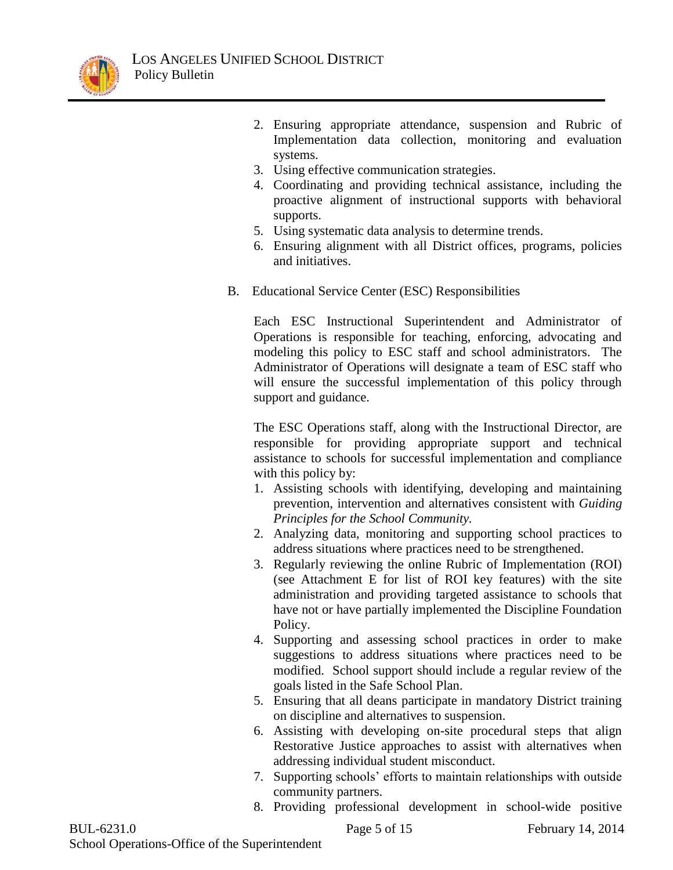

- 2. Ensuring appropriate attendance, suspension and Rubric of Implementation data collection, monitoring and evaluation systems.
- 3. Using effective communication strategies.
- 4. Coordinating and providing technical assistance, including the proactive alignment of instructional supports with behavioral supports.
- 5. Using systematic data analysis to determine trends.
- 6. Ensuring alignment with all District offices, programs, policies and initiatives.
- B. Educational Service Center (ESC) Responsibilities

Each ESC Instructional Superintendent and Administrator of Operations is responsible for teaching, enforcing, advocating and modeling this policy to ESC staff and school administrators. The Administrator of Operations will designate a team of ESC staff who will ensure the successful implementation of this policy through support and guidance.

The ESC Operations staff, along with the Instructional Director, are responsible for providing appropriate support and technical assistance to schools for successful implementation and compliance with this policy by:

- 1. Assisting schools with identifying, developing and maintaining prevention, intervention and alternatives consistent with *Guiding Principles for the School Community.*
- 2. Analyzing data, monitoring and supporting school practices to address situations where practices need to be strengthened.
- 3. Regularly reviewing the online Rubric of Implementation (ROI) (see Attachment E for list of ROI key features) with the site administration and providing targeted assistance to schools that have not or have partially implemented the Discipline Foundation Policy.
- 4. Supporting and assessing school practices in order to make suggestions to address situations where practices need to be modified. School support should include a regular review of the goals listed in the Safe School Plan.
- 5. Ensuring that all deans participate in mandatory District training on discipline and alternatives to suspension.
- 6. Assisting with developing on-site procedural steps that align Restorative Justice approaches to assist with alternatives when addressing individual student misconduct.
- 7. Supporting schools' efforts to maintain relationships with outside community partners.
- 8. Providing professional development in school-wide positive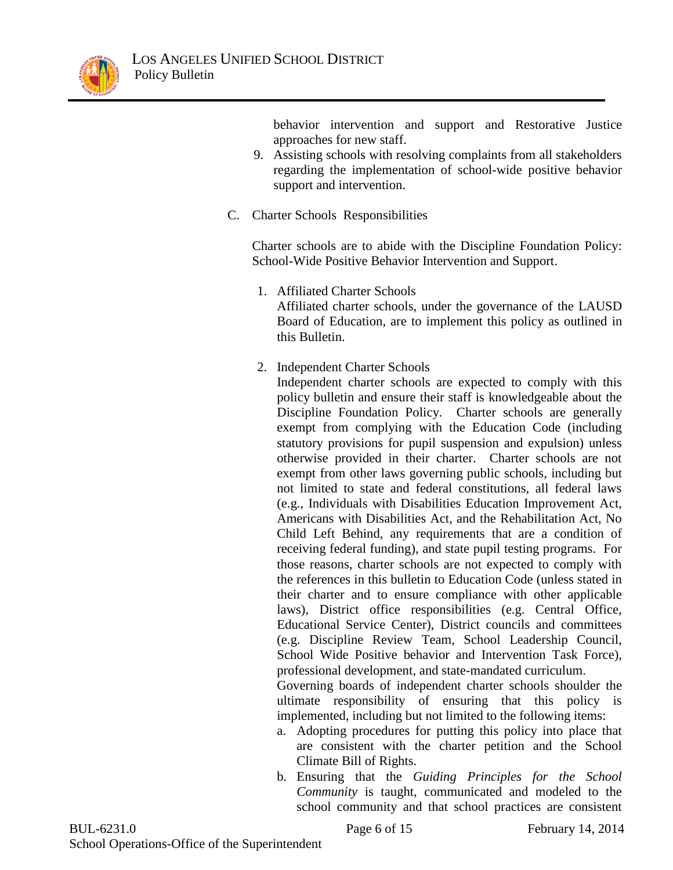

behavior intervention and support and Restorative Justice approaches for new staff.

- 9. Assisting schools with resolving complaints from all stakeholders regarding the implementation of school-wide positive behavior support and intervention.
- C. Charter Schools Responsibilities

Charter schools are to abide with the Discipline Foundation Policy: School-Wide Positive Behavior Intervention and Support.

1. Affiliated Charter Schools

Affiliated charter schools, under the governance of the LAUSD Board of Education, are to implement this policy as outlined in this Bulletin.

2. Independent Charter Schools

Independent charter schools are expected to comply with this policy bulletin and ensure their staff is knowledgeable about the Discipline Foundation Policy. Charter schools are generally exempt from complying with the Education Code (including statutory provisions for pupil suspension and expulsion) unless otherwise provided in their charter. Charter schools are not exempt from other laws governing public schools, including but not limited to state and federal constitutions, all federal laws (e.g., Individuals with Disabilities Education Improvement Act, Americans with Disabilities Act, and the Rehabilitation Act, No Child Left Behind, any requirements that are a condition of receiving federal funding), and state pupil testing programs. For those reasons, charter schools are not expected to comply with the references in this bulletin to Education Code (unless stated in their charter and to ensure compliance with other applicable laws), District office responsibilities (e.g. Central Office, Educational Service Center), District councils and committees (e.g. Discipline Review Team, School Leadership Council, School Wide Positive behavior and Intervention Task Force), professional development, and state-mandated curriculum.

Governing boards of independent charter schools shoulder the ultimate responsibility of ensuring that this policy is implemented, including but not limited to the following items:

- a. Adopting procedures for putting this policy into place that are consistent with the charter petition and the School Climate Bill of Rights.
- b. Ensuring that the *Guiding Principles for the School Community* is taught, communicated and modeled to the school community and that school practices are consistent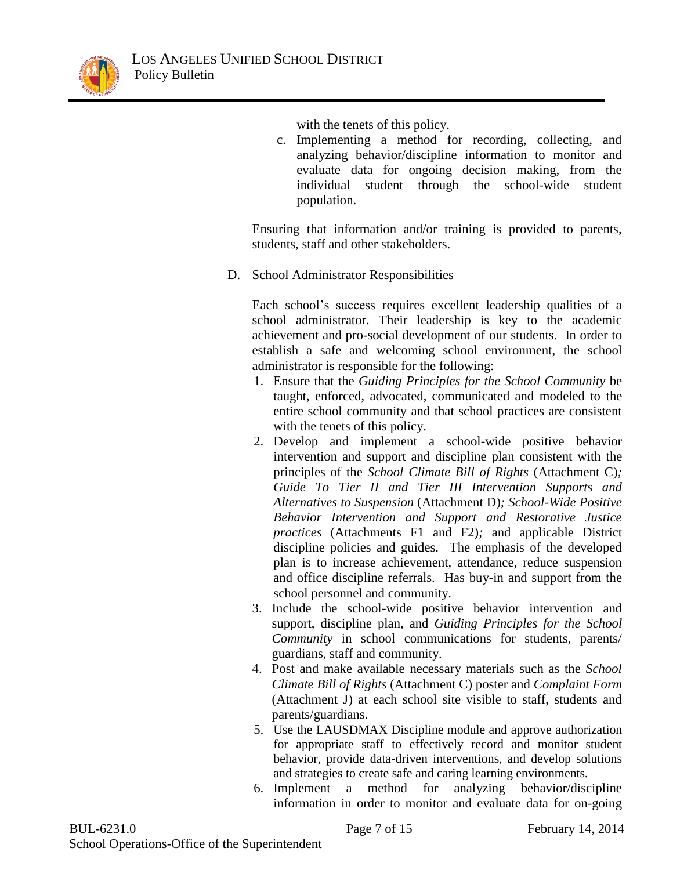

with the tenets of this policy.

c. Implementing a method for recording, collecting, and analyzing behavior/discipline information to monitor and evaluate data for ongoing decision making, from the individual student through the school-wide student population.

Ensuring that information and/or training is provided to parents, students, staff and other stakeholders.

D. School Administrator Responsibilities

Each school's success requires excellent leadership qualities of a school administrator. Their leadership is key to the academic achievement and pro-social development of our students. In order to establish a safe and welcoming school environment, the school administrator is responsible for the following:

- 1. Ensure that the *Guiding Principles for the School Community* be taught, enforced, advocated, communicated and modeled to the entire school community and that school practices are consistent with the tenets of this policy.
- 2. Develop and implement a school-wide positive behavior intervention and support and discipline plan consistent with the principles of the *School Climate Bill of Rights* (Attachment C)*; Guide To Tier II and Tier III Intervention Supports and Alternatives to Suspension* (Attachment D)*; School-Wide Positive Behavior Intervention and Support and Restorative Justice practices* (Attachments F1 and F2)*;* and applicable District discipline policies and guides. The emphasis of the developed plan is to increase achievement, attendance, reduce suspension and office discipline referrals. Has buy-in and support from the school personnel and community.
- 3. Include the school-wide positive behavior intervention and support, discipline plan, and *Guiding Principles for the School Community* in school communications for students, parents/ guardians, staff and community.
- 4. Post and make available necessary materials such as the *School Climate Bill of Rights* (Attachment C) poster and *Complaint Form* (Attachment J) at each school site visible to staff, students and parents/guardians.
- 5. Use the LAUSDMAX Discipline module and approve authorization for appropriate staff to effectively record and monitor student behavior, provide data-driven interventions, and develop solutions and strategies to create safe and caring learning environments.
- 6. Implement a method for analyzing behavior/discipline information in order to monitor and evaluate data for on-going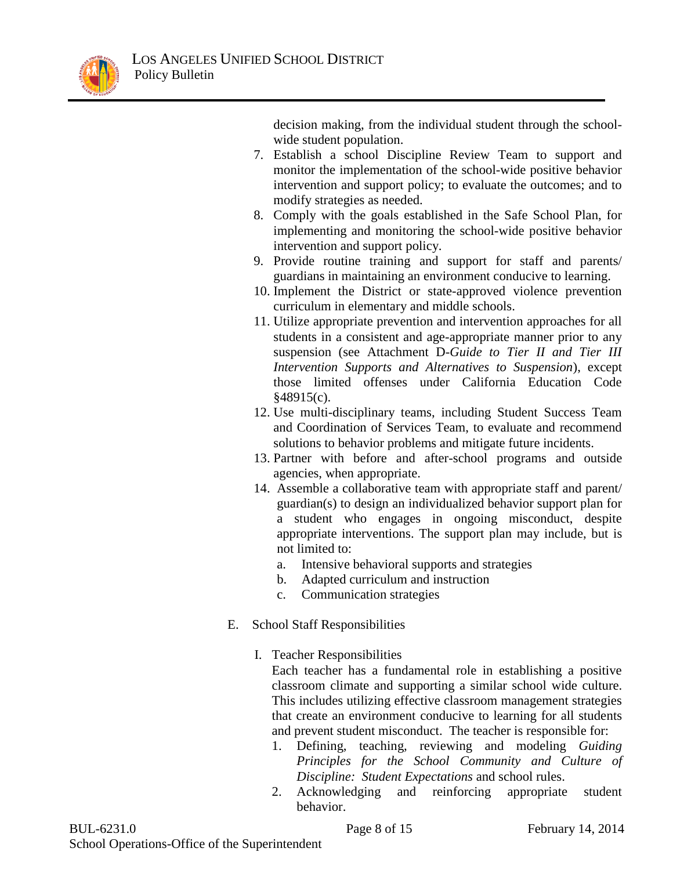

decision making, from the individual student through the schoolwide student population.

- 7. Establish a school Discipline Review Team to support and monitor the implementation of the school-wide positive behavior intervention and support policy; to evaluate the outcomes; and to modify strategies as needed.
- 8. Comply with the goals established in the Safe School Plan, for implementing and monitoring the school-wide positive behavior intervention and support policy.
- 9. Provide routine training and support for staff and parents/ guardians in maintaining an environment conducive to learning.
- 10. Implement the District or state-approved violence prevention curriculum in elementary and middle schools.
- 11. Utilize appropriate prevention and intervention approaches for all students in a consistent and age-appropriate manner prior to any suspension (see Attachment D-*Guide to Tier II and Tier III Intervention Supports and Alternatives to Suspension*), except those limited offenses under California Education Code §48915(c).
- 12. Use multi-disciplinary teams, including Student Success Team and Coordination of Services Team, to evaluate and recommend solutions to behavior problems and mitigate future incidents.
- 13. Partner with before and after-school programs and outside agencies, when appropriate.
- 14. Assemble a collaborative team with appropriate staff and parent/ guardian(s) to design an individualized behavior support plan for a student who engages in ongoing misconduct, despite appropriate interventions. The support plan may include, but is not limited to:
	- a. Intensive behavioral supports and strategies
	- b. Adapted curriculum and instruction
	- c. Communication strategies
- E. School Staff Responsibilities
	- I. Teacher Responsibilities
		- Each teacher has a fundamental role in establishing a positive classroom climate and supporting a similar school wide culture. This includes utilizing effective classroom management strategies that create an environment conducive to learning for all students and prevent student misconduct. The teacher is responsible for:
		- 1. Defining, teaching, reviewing and modeling *Guiding Principles for the School Community and Culture of Discipline: Student Expectations* and school rules.
		- 2. Acknowledging and reinforcing appropriate student behavior.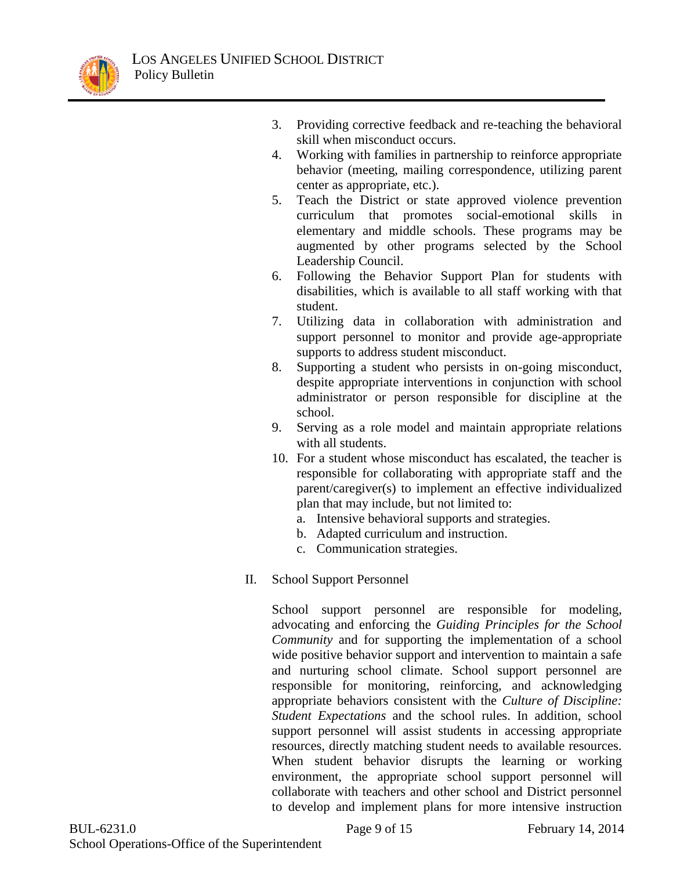

- 3. Providing corrective feedback and re-teaching the behavioral skill when misconduct occurs.
- 4. Working with families in partnership to reinforce appropriate behavior (meeting, mailing correspondence, utilizing parent center as appropriate, etc.).
- 5. Teach the District or state approved violence prevention curriculum that promotes social-emotional skills in elementary and middle schools. These programs may be augmented by other programs selected by the School Leadership Council.
- 6. Following the Behavior Support Plan for students with disabilities, which is available to all staff working with that student.
- 7. Utilizing data in collaboration with administration and support personnel to monitor and provide age-appropriate supports to address student misconduct.
- 8. Supporting a student who persists in on-going misconduct, despite appropriate interventions in conjunction with school administrator or person responsible for discipline at the school.
- 9. Serving as a role model and maintain appropriate relations with all students.
- 10. For a student whose misconduct has escalated, the teacher is responsible for collaborating with appropriate staff and the parent/caregiver(s) to implement an effective individualized plan that may include, but not limited to:
	- a. Intensive behavioral supports and strategies.
	- b. Adapted curriculum and instruction.
	- c. Communication strategies.
- II. School Support Personnel

School support personnel are responsible for modeling, advocating and enforcing the *Guiding Principles for the School Community* and for supporting the implementation of a school wide positive behavior support and intervention to maintain a safe and nurturing school climate. School support personnel are responsible for monitoring, reinforcing, and acknowledging appropriate behaviors consistent with the *Culture of Discipline: Student Expectations* and the school rules. In addition, school support personnel will assist students in accessing appropriate resources, directly matching student needs to available resources. When student behavior disrupts the learning or working environment, the appropriate school support personnel will collaborate with teachers and other school and District personnel to develop and implement plans for more intensive instruction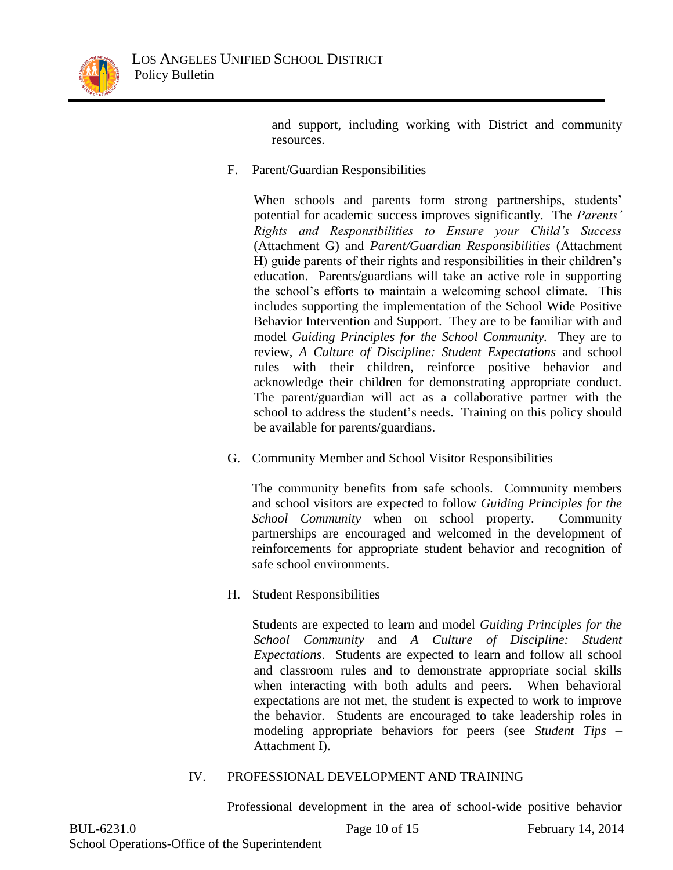

and support, including working with District and community resources.

F. Parent/Guardian Responsibilities

When schools and parents form strong partnerships, students' potential for academic success improves significantly. The *Parents' Rights and Responsibilities to Ensure your Child's Success*  (Attachment G) and *Parent/Guardian Responsibilities* (Attachment H) guide parents of their rights and responsibilities in their children's education. Parents/guardians will take an active role in supporting the school's efforts to maintain a welcoming school climate. This includes supporting the implementation of the School Wide Positive Behavior Intervention and Support. They are to be familiar with and model *Guiding Principles for the School Community.* They are to review, *A Culture of Discipline: Student Expectations* and school rules with their children, reinforce positive behavior and acknowledge their children for demonstrating appropriate conduct. The parent/guardian will act as a collaborative partner with the school to address the student's needs. Training on this policy should be available for parents/guardians.

G. Community Member and School Visitor Responsibilities

The community benefits from safe schools. Community members and school visitors are expected to follow *Guiding Principles for the School Community* when on school property. Community partnerships are encouraged and welcomed in the development of reinforcements for appropriate student behavior and recognition of safe school environments.

H. Student Responsibilities

Students are expected to learn and model *Guiding Principles for the School Community* and *A Culture of Discipline: Student Expectations*. Students are expected to learn and follow all school and classroom rules and to demonstrate appropriate social skills when interacting with both adults and peers. When behavioral expectations are not met, the student is expected to work to improve the behavior. Students are encouraged to take leadership roles in modeling appropriate behaviors for peers (see *Student Tips* – Attachment I).

## IV. PROFESSIONAL DEVELOPMENT AND TRAINING

Professional development in the area of school-wide positive behavior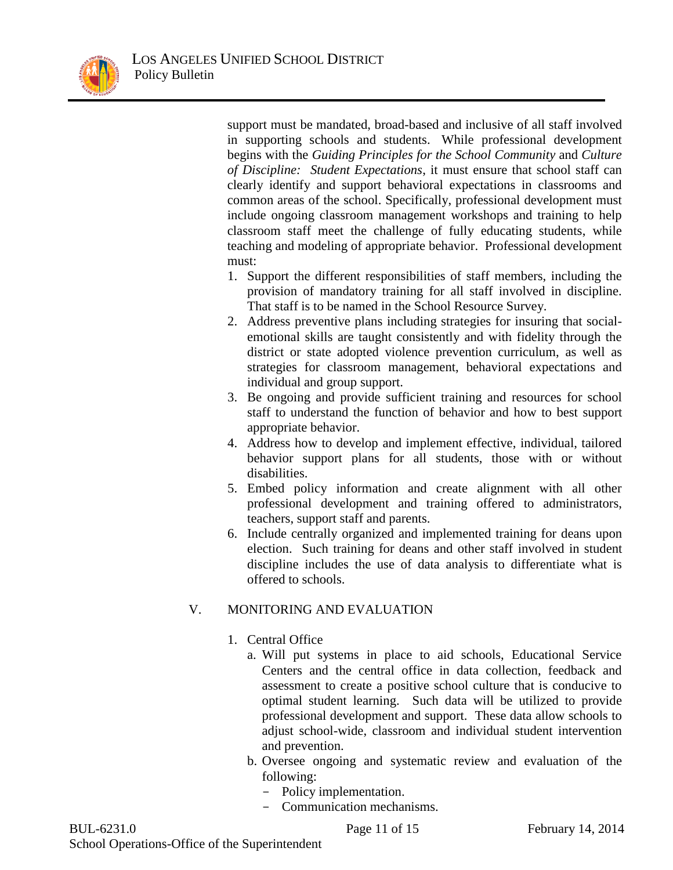support must be mandated, broad-based and inclusive of all staff involved in supporting schools and students. While professional development begins with the *Guiding Principles for the School Community* and *Culture of Discipline: Student Expectations*, it must ensure that school staff can clearly identify and support behavioral expectations in classrooms and common areas of the school. Specifically, professional development must include ongoing classroom management workshops and training to help classroom staff meet the challenge of fully educating students, while teaching and modeling of appropriate behavior. Professional development must:

- 1. Support the different responsibilities of staff members, including the provision of mandatory training for all staff involved in discipline. That staff is to be named in the School Resource Survey.
- 2. Address preventive plans including strategies for insuring that socialemotional skills are taught consistently and with fidelity through the district or state adopted violence prevention curriculum, as well as strategies for classroom management, behavioral expectations and individual and group support.
- 3. Be ongoing and provide sufficient training and resources for school staff to understand the function of behavior and how to best support appropriate behavior.
- 4. Address how to develop and implement effective, individual, tailored behavior support plans for all students, those with or without disabilities.
- 5. Embed policy information and create alignment with all other professional development and training offered to administrators, teachers, support staff and parents.
- 6. Include centrally organized and implemented training for deans upon election. Such training for deans and other staff involved in student discipline includes the use of data analysis to differentiate what is offered to schools.

# V. MONITORING AND EVALUATION

- 1. Central Office
	- a. Will put systems in place to aid schools, Educational Service Centers and the central office in data collection, feedback and assessment to create a positive school culture that is conducive to optimal student learning. Such data will be utilized to provide professional development and support. These data allow schools to adjust school-wide, classroom and individual student intervention and prevention.
	- b. Oversee ongoing and systematic review and evaluation of the following:
		- Policy implementation.
		- Communication mechanisms.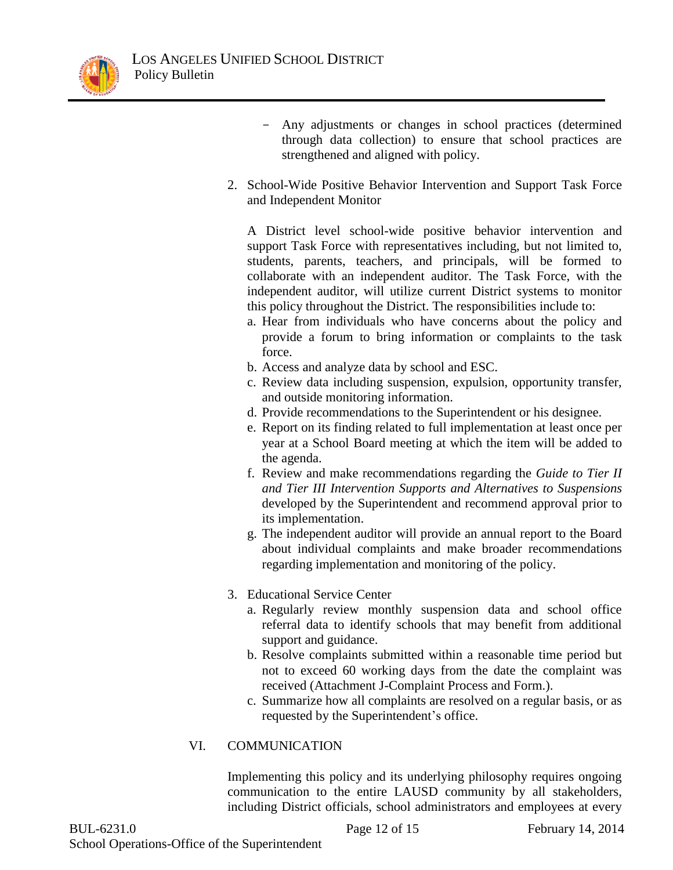

- Any adjustments or changes in school practices (determined through data collection) to ensure that school practices are strengthened and aligned with policy.
- 2. School-Wide Positive Behavior Intervention and Support Task Force and Independent Monitor

A District level school-wide positive behavior intervention and support Task Force with representatives including, but not limited to, students, parents, teachers, and principals, will be formed to collaborate with an independent auditor. The Task Force, with the independent auditor, will utilize current District systems to monitor this policy throughout the District. The responsibilities include to:

- a. Hear from individuals who have concerns about the policy and provide a forum to bring information or complaints to the task force.
- b. Access and analyze data by school and ESC.
- c. Review data including suspension, expulsion, opportunity transfer, and outside monitoring information.
- d. Provide recommendations to the Superintendent or his designee.
- e. Report on its finding related to full implementation at least once per year at a School Board meeting at which the item will be added to the agenda.
- f. Review and make recommendations regarding the *Guide to Tier II and Tier III Intervention Supports and Alternatives to Suspensions* developed by the Superintendent and recommend approval prior to its implementation.
- g. The independent auditor will provide an annual report to the Board about individual complaints and make broader recommendations regarding implementation and monitoring of the policy.
- 3. Educational Service Center
	- a. Regularly review monthly suspension data and school office referral data to identify schools that may benefit from additional support and guidance.
	- b. Resolve complaints submitted within a reasonable time period but not to exceed 60 working days from the date the complaint was received (Attachment J-Complaint Process and Form.).
	- c. Summarize how all complaints are resolved on a regular basis, or as requested by the Superintendent's office.

## VI. COMMUNICATION

Implementing this policy and its underlying philosophy requires ongoing communication to the entire LAUSD community by all stakeholders, including District officials, school administrators and employees at every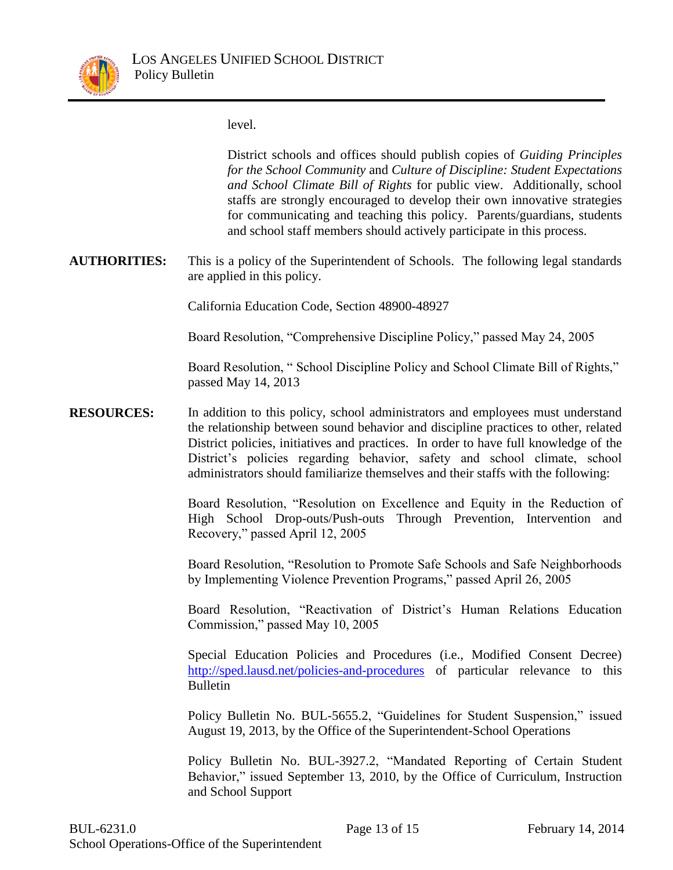

level.

District schools and offices should publish copies of *Guiding Principles for the School Community* and *Culture of Discipline: Student Expectations and School Climate Bill of Rights* for public view. Additionally, school staffs are strongly encouraged to develop their own innovative strategies for communicating and teaching this policy. Parents/guardians, students and school staff members should actively participate in this process.

**AUTHORITIES:** This is a policy of the Superintendent of Schools. The following legal standards are applied in this policy.

California Education Code, Section 48900-48927

Board Resolution, "Comprehensive Discipline Policy," passed May 24, 2005

Board Resolution, " School Discipline Policy and School Climate Bill of Rights," passed May 14, 2013

**RESOURCES:** In addition to this policy, school administrators and employees must understand the relationship between sound behavior and discipline practices to other, related District policies, initiatives and practices. In order to have full knowledge of the District's policies regarding behavior, safety and school climate, school administrators should familiarize themselves and their staffs with the following:

> Board Resolution, "Resolution on Excellence and Equity in the Reduction of High School Drop-outs/Push-outs Through Prevention, Intervention and Recovery," passed April 12, 2005

> Board Resolution, "Resolution to Promote Safe Schools and Safe Neighborhoods by Implementing Violence Prevention Programs," passed April 26, 2005

> Board Resolution, "Reactivation of District's Human Relations Education Commission," passed May 10, 2005

> Special Education Policies and Procedures (i.e., Modified Consent Decree) <http://sped.lausd.net/policies-and-procedures> of particular relevance to this Bulletin

> Policy Bulletin No. BUL-5655.2, "Guidelines for Student Suspension," issued August 19, 2013, by the Office of the Superintendent-School Operations

> Policy Bulletin No. BUL-3927.2, "Mandated Reporting of Certain Student Behavior," issued September 13, 2010, by the Office of Curriculum, Instruction and School Support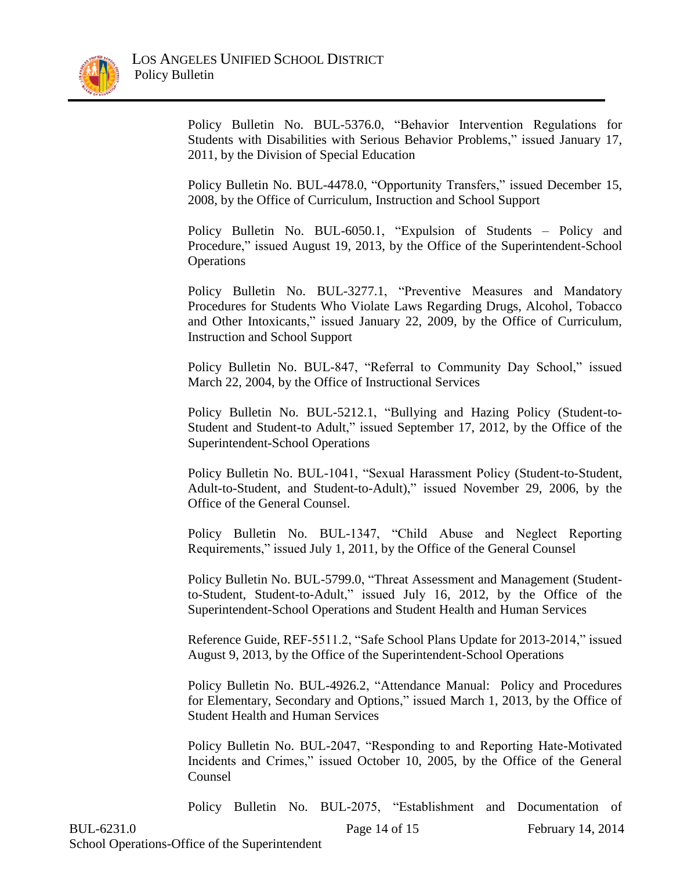

Policy Bulletin No. BUL-5376.0, "Behavior Intervention Regulations for Students with Disabilities with Serious Behavior Problems," issued January 17, 2011, by the Division of Special Education

Policy Bulletin No. BUL-4478.0, "Opportunity Transfers," issued December 15, 2008, by the Office of Curriculum, Instruction and School Support

Policy Bulletin No. BUL-6050.1, "Expulsion of Students – Policy and Procedure," issued August 19, 2013, by the Office of the Superintendent-School **Operations** 

Policy Bulletin No. BUL-3277.1, "Preventive Measures and Mandatory Procedures for Students Who Violate Laws Regarding Drugs, Alcohol, Tobacco and Other Intoxicants," issued January 22, 2009, by the Office of Curriculum, Instruction and School Support

Policy Bulletin No. BUL-847, "Referral to Community Day School," issued March 22, 2004, by the Office of Instructional Services

Policy Bulletin No. BUL-5212.1, "Bullying and Hazing Policy (Student-to-Student and Student-to Adult," issued September 17, 2012, by the Office of the Superintendent-School Operations

Policy Bulletin No. BUL-1041, "Sexual Harassment Policy (Student-to-Student, Adult-to-Student, and Student-to-Adult)," issued November 29, 2006, by the Office of the General Counsel.

Policy Bulletin No. BUL-1347, "Child Abuse and Neglect Reporting Requirements," issued July 1, 2011, by the Office of the General Counsel

Policy Bulletin No. BUL-5799.0, "Threat Assessment and Management (Studentto-Student, Student-to-Adult," issued July 16, 2012, by the Office of the Superintendent-School Operations and Student Health and Human Services

Reference Guide, REF-5511.2, "Safe School Plans Update for 2013-2014," issued August 9, 2013, by the Office of the Superintendent-School Operations

Policy Bulletin No. BUL-4926.2, "Attendance Manual: Policy and Procedures for Elementary, Secondary and Options," issued March 1, 2013, by the Office of Student Health and Human Services

Policy Bulletin No. BUL-2047, "Responding to and Reporting Hate-Motivated Incidents and Crimes," issued October 10, 2005, by the Office of the General Counsel

Policy Bulletin No. BUL-2075, "Establishment and Documentation of